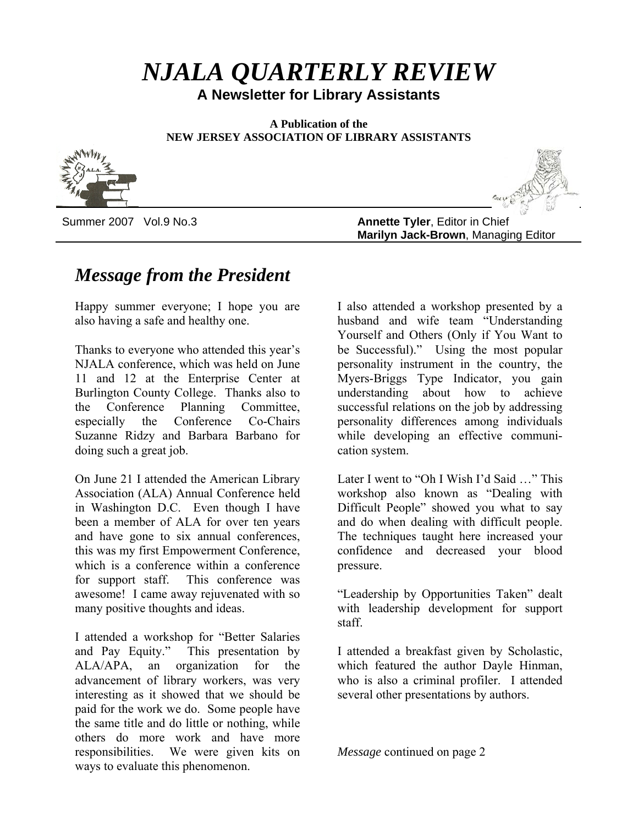# *NJALA QUARTERLY REVIEW*

**A Newsletter for Library Assistants**

**A Publication of the NEW JERSEY ASSOCIATION OF LIBRARY ASSISTANTS**





Summer 2007 Vol.9 No.3 **Annette Tyler**, Editor in Chief **Marilyn Jack-Brown**, Managing Editor

# *Message from the President*

Happy summer everyone; I hope you are also having a safe and healthy one.

Thanks to everyone who attended this year's NJALA conference, which was held on June 11 and 12 at the Enterprise Center at Burlington County College. Thanks also to the Conference Planning Committee, especially the Conference Co-Chairs Suzanne Ridzy and Barbara Barbano for doing such a great job.

On June 21 I attended the American Library Association (ALA) Annual Conference held in Washington D.C. Even though I have been a member of ALA for over ten years and have gone to six annual conferences, this was my first Empowerment Conference, which is a conference within a conference for support staff. This conference was awesome! I came away rejuvenated with so many positive thoughts and ideas.

I attended a workshop for "Better Salaries and Pay Equity." This presentation by ALA/APA, an organization for the advancement of library workers, was very interesting as it showed that we should be paid for the work we do. Some people have the same title and do little or nothing, while others do more work and have more responsibilities. We were given kits on ways to evaluate this phenomenon.

I also attended a workshop presented by a husband and wife team "Understanding Yourself and Others (Only if You Want to be Successful)." Using the most popular personality instrument in the country, the Myers-Briggs Type Indicator, you gain understanding about how to achieve successful relations on the job by addressing personality differences among individuals while developing an effective communication system.

Later I went to "Oh I Wish I'd Said …" This workshop also known as "Dealing with Difficult People" showed you what to say and do when dealing with difficult people. The techniques taught here increased your confidence and decreased your blood pressure.

"Leadership by Opportunities Taken" dealt with leadership development for support staff.

I attended a breakfast given by Scholastic, which featured the author Dayle Hinman, who is also a criminal profiler. I attended several other presentations by authors.

*Message* continued on page 2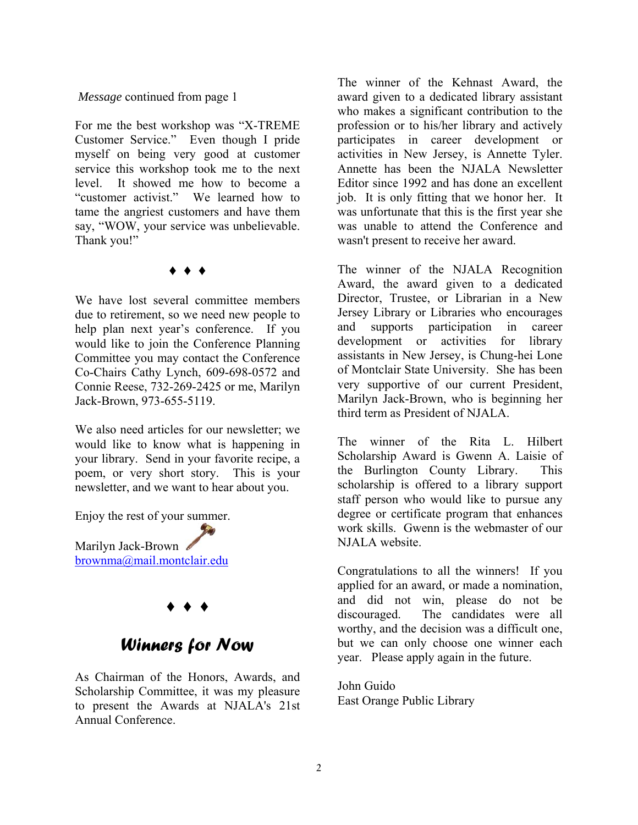#### *Message* continued from page 1

For me the best workshop was "X-TREME Customer Service." Even though I pride myself on being very good at customer service this workshop took me to the next level. It showed me how to become a "customer activist." We learned how to tame the angriest customers and have them say, "WOW, your service was unbelievable. Thank you!"

#### ♦ ♦ ♦

We have lost several committee members due to retirement, so we need new people to help plan next year's conference. If you would like to join the Conference Planning Committee you may contact the Conference Co-Chairs Cathy Lynch, 609-698-0572 and Connie Reese, 732-269-2425 or me, Marilyn Jack-Brown, 973-655-5119.

We also need articles for our newsletter; we would like to know what is happening in your library. Send in your favorite recipe, a poem, or very short story. This is your newsletter, and we want to hear about you.

Enjoy the rest of your summer.

Marilyn Jack-Brown [brownma@mail.montclair.edu](mailto:brownma@mail.montclair.edu)

## ♦ ♦ ♦

## *Winners for Now*

As Chairman of the Honors, Awards, and Scholarship Committee, it was my pleasure to present the Awards at NJALA's 21st Annual Conference.

The winner of the Kehnast Award, the award given to a dedicated library assistant who makes a significant contribution to the profession or to his/her library and actively participates in career development or activities in New Jersey, is Annette Tyler. Annette has been the NJALA Newsletter Editor since 1992 and has done an excellent job. It is only fitting that we honor her. It was unfortunate that this is the first year she was unable to attend the Conference and wasn't present to receive her award.

The winner of the NJALA Recognition Award, the award given to a dedicated Director, Trustee, or Librarian in a New Jersey Library or Libraries who encourages and supports participation in career development or activities for library assistants in New Jersey, is Chung-hei Lone of Montclair State University. She has been very supportive of our current President, Marilyn Jack-Brown, who is beginning her third term as President of NJALA.

The winner of the Rita L. Hilbert Scholarship Award is Gwenn A. Laisie of the Burlington County Library. This scholarship is offered to a library support staff person who would like to pursue any degree or certificate program that enhances work skills. Gwenn is the webmaster of our NJALA website.

Congratulations to all the winners! If you applied for an award, or made a nomination, and did not win, please do not be discouraged. The candidates were all worthy, and the decision was a difficult one, but we can only choose one winner each year. Please apply again in the future.

John Guido East Orange Public Library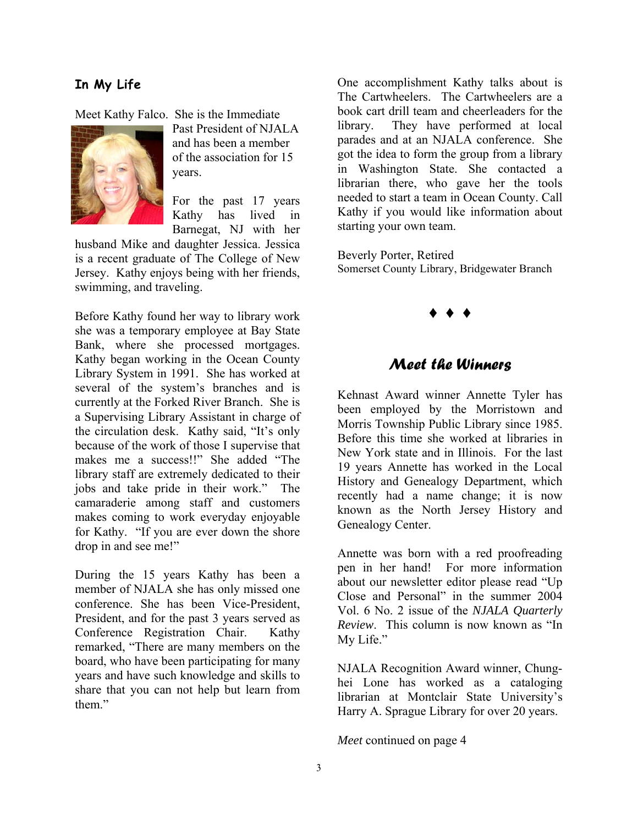#### **In My Life**

Meet Kathy Falco. She is the Immediate



Past President of NJALA and has been a member of the association for 15 years.

For the past 17 years Kathy has lived in Barnegat, NJ with her

husband Mike and daughter Jessica. Jessica is a recent graduate of The College of New Jersey. Kathy enjoys being with her friends, swimming, and traveling.

Before Kathy found her way to library work she was a temporary employee at Bay State Bank, where she processed mortgages. Kathy began working in the Ocean County Library System in 1991. She has worked at several of the system's branches and is currently at the Forked River Branch. She is a Supervising Library Assistant in charge of the circulation desk. Kathy said, "It's only because of the work of those I supervise that makes me a success!!" She added "The library staff are extremely dedicated to their jobs and take pride in their work." The camaraderie among staff and customers makes coming to work everyday enjoyable for Kathy. "If you are ever down the shore drop in and see me!"

During the 15 years Kathy has been a member of NJALA she has only missed one conference. She has been Vice-President, President, and for the past 3 years served as Conference Registration Chair. Kathy remarked, "There are many members on the board, who have been participating for many years and have such knowledge and skills to share that you can not help but learn from them."

One accomplishment Kathy talks about is The Cartwheelers. The Cartwheelers are a book cart drill team and cheerleaders for the library. They have performed at local parades and at an NJALA conference. She got the idea to form the group from a library in Washington State. She contacted a librarian there, who gave her the tools needed to start a team in Ocean County. Call Kathy if you would like information about starting your own team.

Beverly Porter, Retired Somerset County Library, Bridgewater Branch



#### *Meet the Winners*

Kehnast Award winner Annette Tyler has been employed by the Morristown and Morris Township Public Library since 1985. Before this time she worked at libraries in New York state and in Illinois. For the last 19 years Annette has worked in the Local History and Genealogy Department, which recently had a name change; it is now known as the North Jersey History and Genealogy Center.

Annette was born with a red proofreading pen in her hand! For more information about our newsletter editor please read "Up Close and Personal" in the summer 2004 Vol. 6 No. 2 issue of the *NJALA Quarterly Review*. This column is now known as "In My Life."

NJALA Recognition Award winner, Chunghei Lone has worked as a cataloging librarian at Montclair State University's Harry A. Sprague Library for over 20 years.

*Meet* continued on page 4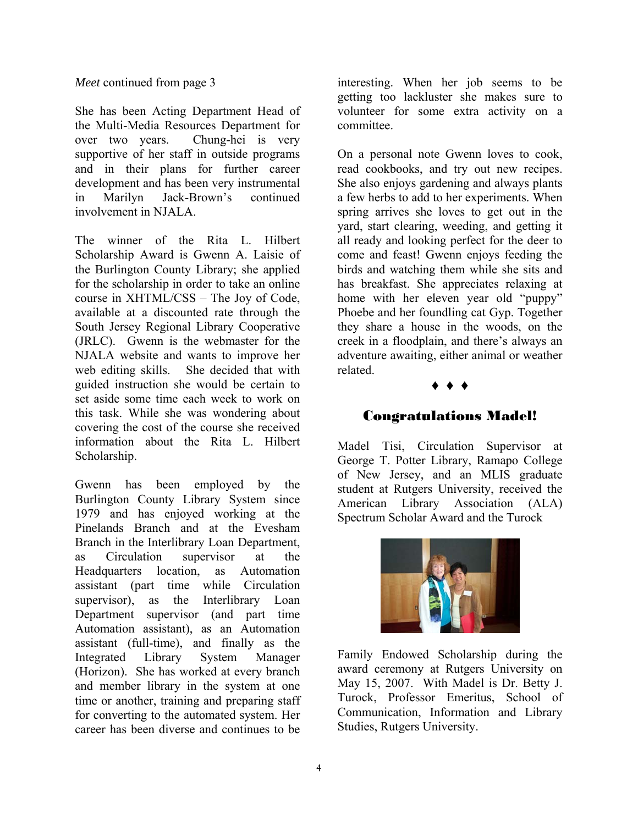#### *Meet* continued from page 3

She has been Acting Department Head of the Multi-Media Resources Department for over two years. Chung-hei is very supportive of her staff in outside programs and in their plans for further career development and has been very instrumental in Marilyn Jack-Brown's continued involvement in NJALA.

The winner of the Rita L. Hilbert Scholarship Award is Gwenn A. Laisie of the Burlington County Library; she applied for the scholarship in order to take an online course in XHTML/CSS – The Joy of Code, available at a discounted rate through the South Jersey Regional Library Cooperative (JRLC). Gwenn is the webmaster for the NJALA website and wants to improve her web editing skills. She decided that with guided instruction she would be certain to set aside some time each week to work on this task. While she was wondering about covering the cost of the course she received information about the Rita L. Hilbert Scholarship.

Gwenn has been employed by the Burlington County Library System since 1979 and has enjoyed working at the Pinelands Branch and at the Evesham Branch in the Interlibrary Loan Department, as Circulation supervisor at the Headquarters location, as Automation assistant (part time while Circulation supervisor), as the Interlibrary Loan Department supervisor (and part time Automation assistant), as an Automation assistant (full-time), and finally as the Integrated Library System Manager (Horizon). She has worked at every branch and member library in the system at one time or another, training and preparing staff for converting to the automated system. Her career has been diverse and continues to be

interesting. When her job seems to be getting too lackluster she makes sure to volunteer for some extra activity on a committee.

On a personal note Gwenn loves to cook, read cookbooks, and try out new recipes. She also enjoys gardening and always plants a few herbs to add to her experiments. When spring arrives she loves to get out in the yard, start clearing, weeding, and getting it all ready and looking perfect for the deer to come and feast! Gwenn enjoys feeding the birds and watching them while she sits and has breakfast. She appreciates relaxing at home with her eleven year old "puppy" Phoebe and her foundling cat Gyp. Together they share a house in the woods, on the creek in a floodplain, and there's always an adventure awaiting, either animal or weather related.

#### ♦ ♦ ♦

#### Congratulations Madel!

Madel Tisi, Circulation Supervisor at George T. Potter Library, Ramapo College of New Jersey, and an MLIS graduate student at Rutgers University, received the American Library Association (ALA) Spectrum Scholar Award and the Turock



Family Endowed Scholarship during the award ceremony at Rutgers University on May 15, 2007. With Madel is Dr. Betty J. Turock, Professor Emeritus, School of Communication, Information and Library Studies, Rutgers University.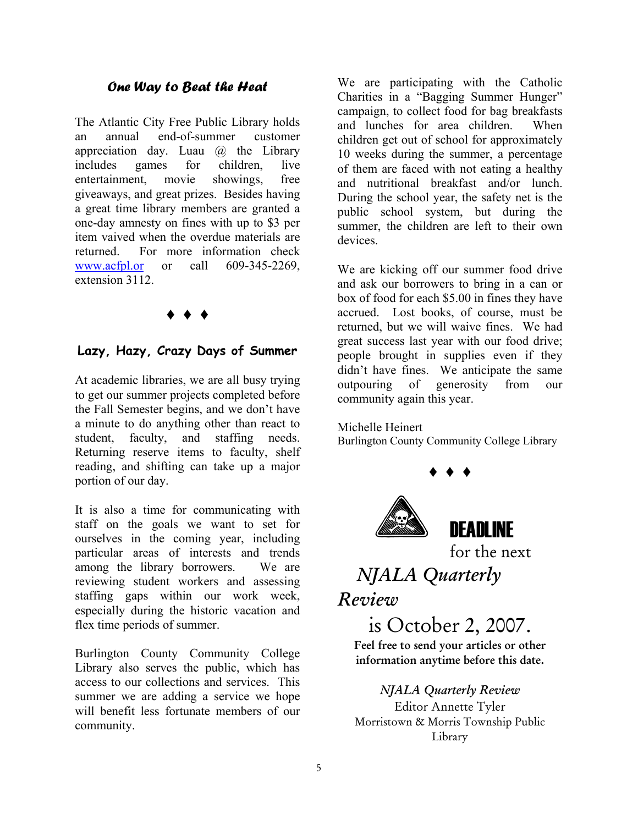#### *One Way to Beat the Heat*

The Atlantic City Free Public Library holds an annual end-of-summer customer appreciation day. Luau @ the Library includes games for children, live entertainment, movie showings, free giveaways, and great prizes. Besides having a great time library members are granted a one-day amnesty on fines with up to \$3 per item vaived when the overdue materials are returned. For more information check [www.acfpl.or](http://www.acfpl.or/) or call 609-345-2269, extension 3112.

### ♦ ♦ ♦

#### **Lazy, Hazy, Crazy Days of Summer**

At academic libraries, we are all busy trying to get our summer projects completed before the Fall Semester begins, and we don't have a minute to do anything other than react to student, faculty, and staffing needs. Returning reserve items to faculty, shelf reading, and shifting can take up a major portion of our day.

It is also a time for communicating with staff on the goals we want to set for ourselves in the coming year, including particular areas of interests and trends among the library borrowers. We are reviewing student workers and assessing staffing gaps within our work week, especially during the historic vacation and flex time periods of summer.

Burlington County Community College Library also serves the public, which has access to our collections and services. This summer we are adding a service we hope will benefit less fortunate members of our community.

We are participating with the Catholic Charities in a "Bagging Summer Hunger" campaign, to collect food for bag breakfasts and lunches for area children. When children get out of school for approximately 10 weeks during the summer, a percentage of them are faced with not eating a healthy and nutritional breakfast and/or lunch. During the school year, the safety net is the public school system, but during the summer, the children are left to their own devices.

We are kicking off our summer food drive and ask our borrowers to bring in a can or box of food for each \$5.00 in fines they have accrued. Lost books, of course, must be returned, but we will waive fines. We had great success last year with our food drive; people brought in supplies even if they didn't have fines. We anticipate the same outpouring of generosity from our community again this year.

Michelle Heinert

Burlington County Community College Library

♦ ♦ ♦



for the next

# *NJALA Quarterly*

# *Review*

# is October 2, 2007.

Feel free to send your articles or other information anytime before this date.

#### *NJALA Quarterly Review*

Editor Annette Tyler Morristown & Morris Township Public Library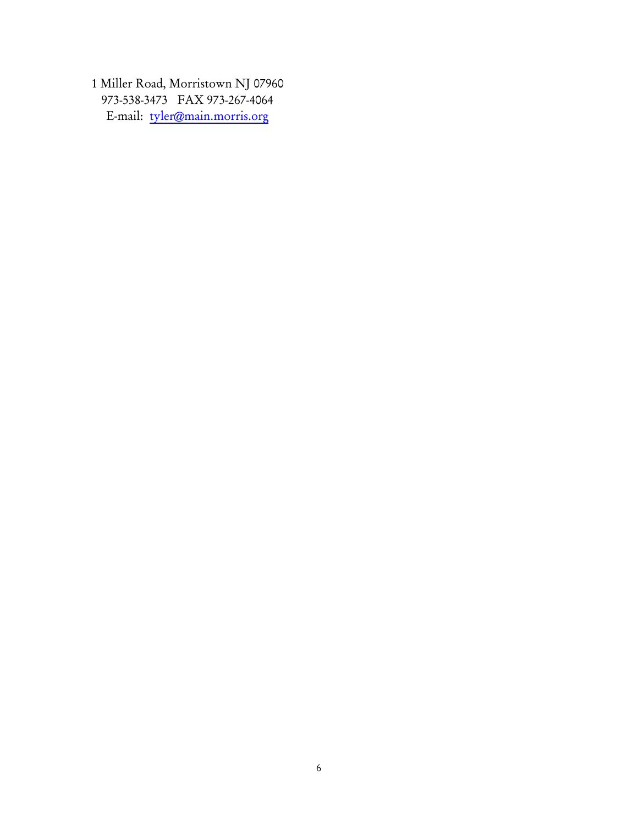1 Miller Road, Morristown NJ 07960 973-538-3473 FAX 973-267-4064 E-mail: [tyler@main.morris.org](mailto:tyler@main.morris.org)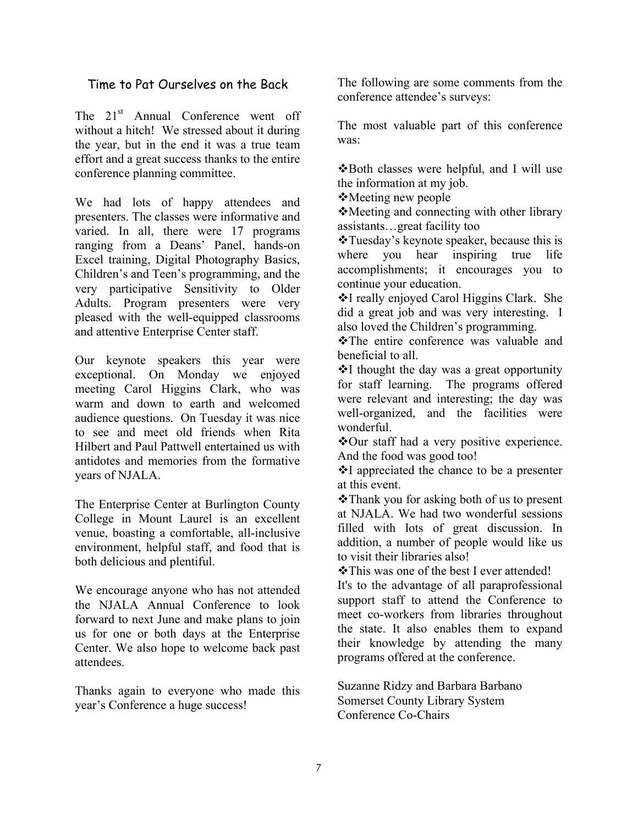#### Time to Pat Ourselves on the Back

The 21<sup>st</sup> Annual Conference went off without a hitch! We stressed about it during the year, but in the end it was a true team effort and a great success thanks to the entire conference planning committee.

We had lots of happy attendees and presenters. The classes were informative and varied. In all, there were 17 programs ranging from a Deans' Panel, hands-on Excel training, Digital Photography Basics, Children's and Teen's programming, and the very participative Sensitivity to Older Adults. Program presenters were very pleased with the well-equipped classrooms and attentive Enterprise Center staff.

Our keynote speakers this year were exceptional. On Monday we enjoyed meeting Carol Higgins Clark, who was warm and down to earth and welcomed audience questions. On Tuesday it was nice to see and meet old friends when Rita Hilbert and Paul Pattwell entertained us with antidotes and memories from the formative years of NJALA.

The Enterprise Center at Burlington County College in Mount Laurel is an excellent venue, boasting a comfortable, all-inclusive environment, helpful staff, and food that is both delicious and plentiful.

We encourage anyone who has not attended the NJALA Annual Conference to look forward to next June and make plans to join us for one or both days at the Enterprise Center. We also hope to welcome back past attendees.

Thanks again to everyone who made this year's Conference a huge success!

The following are some comments from the conference attendee's surveys:

The most valuable part of this conference was:

**\***Both classes were helpful, and I will use the information at my job.

Meeting new people

Meeting and connecting with other library assistants…great facility too

\*Tuesday's keynote speaker, because this is where you hear inspiring true life accomplishments; it encourages you to continue your education.

I really enjoyed Carol Higgins Clark. She did a great job and was very interesting. I also loved the Children's programming.

The entire conference was valuable and beneficial to all.

 $\cdot$ I thought the day was a great opportunity for staff learning. The programs offered were relevant and interesting; the day was well-organized, and the facilities were wonderful.

\*Our staff had a very positive experience. And the food was good too!

 $\cdot \cdot$ I appreciated the chance to be a presenter at this event.

**\***Thank you for asking both of us to present at NJALA. We had two wonderful sessions filled with lots of great discussion. In addition, a number of people would like us to visit their libraries also!

This was one of the best I ever attended!

It's to the advantage of all paraprofessional support staff to attend the Conference to meet co-workers from libraries throughout the state. It also enables them to expand their knowledge by attending the many programs offered at the conference.

Suzanne Ridzy and Barbara Barbano Somerset County Library System Conference Co-Chairs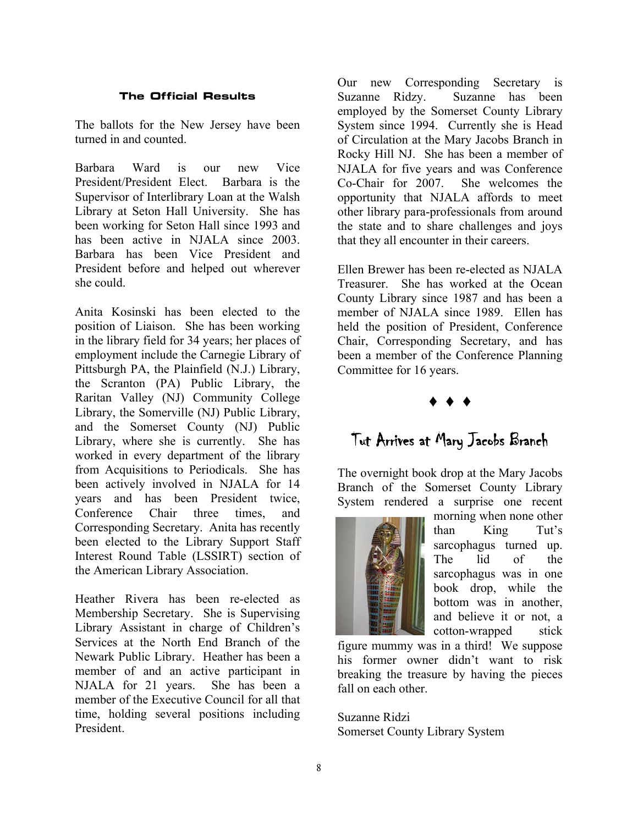#### **The Official Results**

The ballots for the New Jersey have been turned in and counted.

Barbara Ward is our new Vice President/President Elect. Barbara is the Supervisor of Interlibrary Loan at the Walsh Library at Seton Hall University. She has been working for Seton Hall since 1993 and has been active in NJALA since 2003. Barbara has been Vice President and President before and helped out wherever she could.

Anita Kosinski has been elected to the position of Liaison. She has been working in the library field for 34 years; her places of employment include the Carnegie Library of Pittsburgh PA, the Plainfield (N.J.) Library, the Scranton (PA) Public Library, the Raritan Valley (NJ) Community College Library, the Somerville (NJ) Public Library, and the Somerset County (NJ) Public Library, where she is currently. She has worked in every department of the library from Acquisitions to Periodicals. She has been actively involved in NJALA for 14 years and has been President twice, Conference Chair three times, and Corresponding Secretary. Anita has recently been elected to the Library Support Staff Interest Round Table (LSSIRT) section of the American Library Association.

Heather Rivera has been re-elected as Membership Secretary. She is Supervising Library Assistant in charge of Children's Services at the North End Branch of the Newark Public Library. Heather has been a member of and an active participant in NJALA for 21 years. She has been a member of the Executive Council for all that time, holding several positions including President.

Our new Corresponding Secretary is Suzanne Ridzy. Suzanne has been employed by the Somerset County Library System since 1994. Currently she is Head of Circulation at the Mary Jacobs Branch in Rocky Hill NJ. She has been a member of NJALA for five years and was Conference Co-Chair for 2007. She welcomes the opportunity that NJALA affords to meet other library para-professionals from around the state and to share challenges and joys that they all encounter in their careers.

Ellen Brewer has been re-elected as NJALA Treasurer. She has worked at the Ocean County Library since 1987 and has been a member of NJALA since 1989. Ellen has held the position of President, Conference Chair, Corresponding Secretary, and has been a member of the Conference Planning Committee for 16 years.

## ♦ ♦ ♦

# Tut Arrives at Mary Jacobs Branch

The overnight book drop at the Mary Jacobs Branch of the Somerset County Library System rendered a surprise one recent



morning when none other than King Tut's sarcophagus turned up. The lid of the sarcophagus was in one book drop, while the bottom was in another, and believe it or not, a cotton-wrapped stick

figure mummy was in a third! We suppose his former owner didn't want to risk breaking the treasure by having the pieces fall on each other.

Suzanne Ridzi Somerset County Library System